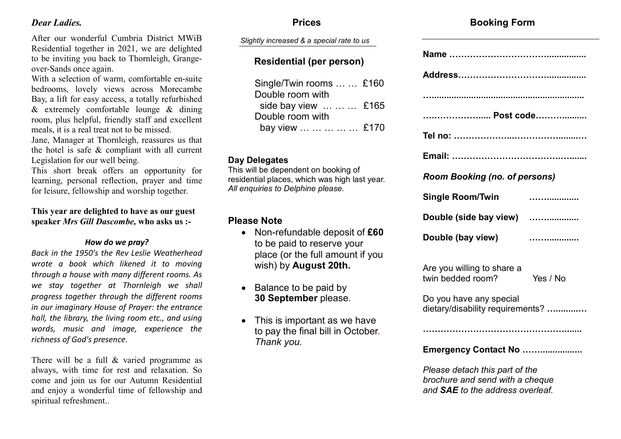#### *Dear Ladies.*

After our wonderful Cumbria District MWiB Residential together in 2021, we are delighted to be inviting you back to Thornleigh, Grangeover-Sands once again.

With a selection of warm, comfortable en-suite bedrooms, lovely views across Morecambe Bay, a lift for easy access, a totally refurbished & extremely comfortable lounge & dining room, plus helpful, friendly staff and excellent meals, it is a real treat not to be missed.

Jane, Manager at Thornleigh, reassures us that the hotel is safe & compliant with all current Legislation for our well being.

This short break offers an opportunity for learning, personal reflection, prayer and time for leisure, fellowship and worship together.

#### **This year are delighted to have as our guest speaker** *Mrs Gill Dascombe,* **who asks us :-**

#### *How do we pray?*

*Back in the 1950's the Rev Leslie Weatherhead wrote a book which likened it to moving through a house with many different rooms. As we stay together at Thornleigh we shall progress together through the different rooms in our imaginary House of Prayer: the entrance hall, the library, the living room etc., and using words, music and image, experience the richness of God's presence.*

There will be a full & varied programme as always, with time for rest and relaxation. So come and join us for our Autumn Residential and enjoy a wonderful time of fellowship and spiritual refreshment..

#### **Prices**

*Slightly increased & a special rate to us*

#### **Residential (per person)**

| Single/Twin rooms   £160 |  |
|--------------------------|--|
| Double room with         |  |
| side bay view    £165    |  |
| Double room with         |  |
| bay view      £170       |  |

#### **Day Delegates**

This will be dependent on booking of residential places, which was high last year. *All enquiries to Delphine please.* 

#### **Please Note**

- Non-refundable deposit of **£60**  to be paid to reserve your place (or the full amount if you wish) by **August 20th.**
- Balance to be paid by **30 September** please.
- This is important as we have to pay the final bill in October. *Thank you.*

### **Booking Form**

| Post code                                                         |          |  |
|-------------------------------------------------------------------|----------|--|
|                                                                   |          |  |
|                                                                   |          |  |
| <b>Room Booking (no. of persons)</b>                              |          |  |
| <b>Single Room/Twin</b>                                           | .        |  |
| Double (side bay view)                                            | .        |  |
| Double (bay view)                                                 |          |  |
| Are you willing to share a<br>twin bedded room?                   | Yes / No |  |
| Do you have any special<br>dietary/disability requirements?       |          |  |
|                                                                   |          |  |
| Emergency Contact No                                              |          |  |
| Please detach this part of the<br>brochure and send with a cheque |          |  |

*and SAE to the address overleaf.*